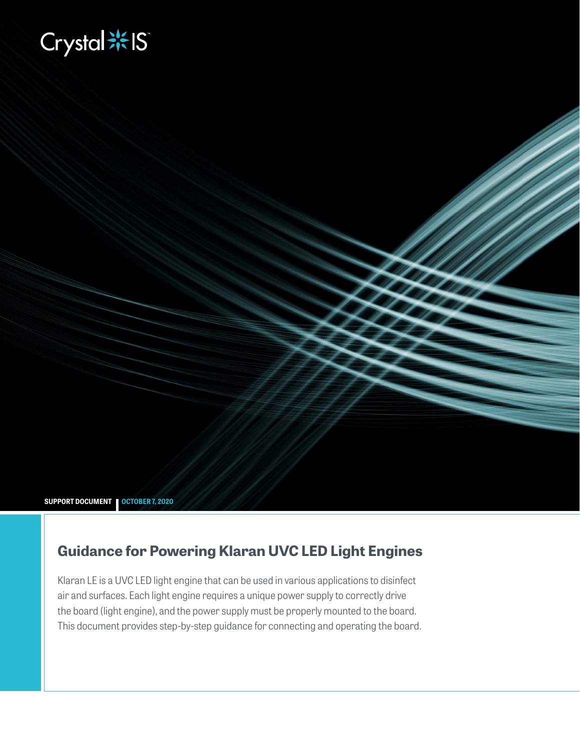# **Biography**

**SUPPORT DOCUMENT OCTOBER 7, 2020**

# **Guidance for Powering Klaran UVC LED Light Engines**

Klaran LE is a UVC LED light engine that can be used in various applications to disinfect air and surfaces. Each light engine requires a unique power supply to correctly drive the board (light engine), and the power supply must be properly mounted to the board. This document provides step-by-step guidance for connecting and operating the board.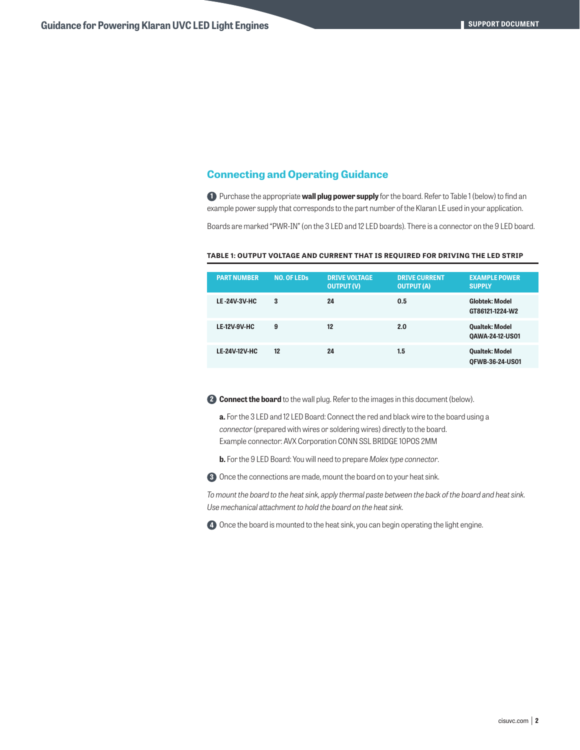## **Connecting and Operating Guidance**

**1** Purchase the appropriate **wall plug power supply** for the board. Refer to Table 1 (below) to find an example power supply that corresponds to the part number of the Klaran LE used in your application.

Boards are marked "PWR-IN" (on the 3 LED and 12 LED boards). There is a connector on the 9 LED board.

| <b>PART NUMBER</b>   | <b>NO. OF LEDS</b> | <b>DRIVE VOLTAGE</b><br><b>OUTPUT (V)</b> | <b>DRIVE CURRENT</b><br><b>OUTPUT (A)</b> | <b>EXAMPLE POWER</b><br><b>SUPPLY</b>           |
|----------------------|--------------------|-------------------------------------------|-------------------------------------------|-------------------------------------------------|
| <b>LE-24V-3V-HC</b>  | 3                  | 24                                        | 0.5                                       | <b>Globtek: Model</b><br>GT86121-1224-W2        |
| <b>LE-12V-9V-HC</b>  | 9                  | 12                                        | 2.0                                       | <b>Qualtek: Model</b><br>QAWA-24-12-US01        |
| <b>LE-24V-12V-HC</b> | 12                 | 24                                        | 1.5                                       | <b>Qualtek: Model</b><br><b>OFWB-36-24-US01</b> |

#### **TABLE 1: OUTPUT VOLTAGE AND CURRENT THAT IS REQUIRED FOR DRIVING THE LED STRIP**

**2 Connect the board** to the wall plug. Refer to the images in this document (below).

- **a.** For the 3 LED and 12 LED Board: Connect the red and black wire to the board using a *connector* (prepared with wires or soldering wires) directly to the board. Example connector: AVX Corporation CONN SSL BRIDGE 10POS 2MM
- **b.** For the 9 LED Board: You will need to prepare *Molex type connector*.

**3** Once the connections are made, mount the board on to your heat sink.

*To mount the board to the heat sink, apply thermal paste between the back of the board and heat sink. Use mechanical attachment to hold the board on the heat sink.*

**4** Once the board is mounted to the heat sink, you can begin operating the light engine.